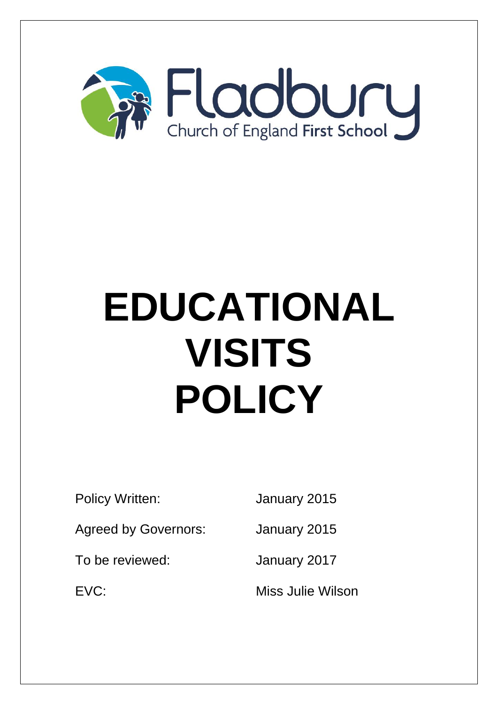

# **EDUCATIONAL VISITS POLICY**

Policy Written: January 2015

Agreed by Governors: January 2015

To be reviewed: January 2017

EVC: Miss Julie Wilson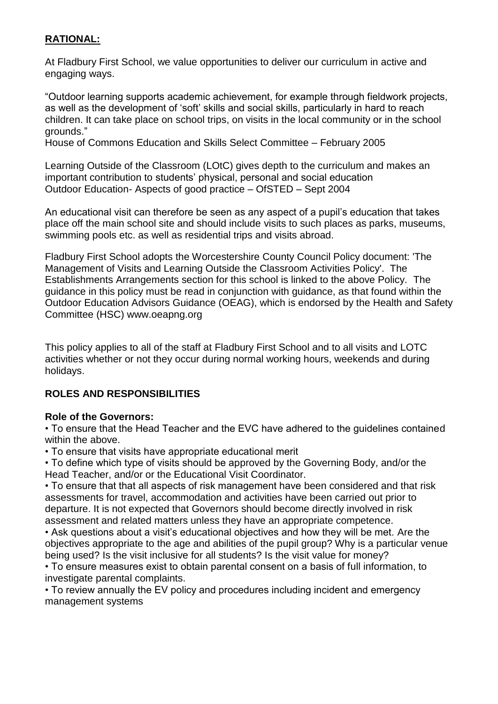# **RATIONAL:**

At Fladbury First School, we value opportunities to deliver our curriculum in active and engaging ways.

"Outdoor learning supports academic achievement, for example through fieldwork projects, as well as the development of 'soft' skills and social skills, particularly in hard to reach children. It can take place on school trips, on visits in the local community or in the school grounds."

House of Commons Education and Skills Select Committee – February 2005

Learning Outside of the Classroom (LOtC) gives depth to the curriculum and makes an important contribution to students' physical, personal and social education Outdoor Education- Aspects of good practice – OfSTED – Sept 2004

An educational visit can therefore be seen as any aspect of a pupil's education that takes place off the main school site and should include visits to such places as parks, museums, swimming pools etc. as well as residential trips and visits abroad.

Fladbury First School adopts the Worcestershire County Council Policy document: 'The Management of Visits and Learning Outside the Classroom Activities Policy'. The Establishments Arrangements section for this school is linked to the above Policy. The guidance in this policy must be read in conjunction with guidance, as that found within the Outdoor Education Advisors Guidance (OEAG), which is endorsed by the Health and Safety Committee (HSC) www.oeapng.org

This policy applies to all of the staff at Fladbury First School and to all visits and LOTC activities whether or not they occur during normal working hours, weekends and during holidays.

# **ROLES AND RESPONSIBILITIES**

# **Role of the Governors:**

• To ensure that the Head Teacher and the EVC have adhered to the guidelines contained within the above.

• To ensure that visits have appropriate educational merit

• To define which type of visits should be approved by the Governing Body, and/or the Head Teacher, and/or or the Educational Visit Coordinator.

• To ensure that that all aspects of risk management have been considered and that risk assessments for travel, accommodation and activities have been carried out prior to departure. It is not expected that Governors should become directly involved in risk assessment and related matters unless they have an appropriate competence.

• Ask questions about a visit's educational objectives and how they will be met. Are the objectives appropriate to the age and abilities of the pupil group? Why is a particular venue being used? Is the visit inclusive for all students? Is the visit value for money?

• To ensure measures exist to obtain parental consent on a basis of full information, to investigate parental complaints.

• To review annually the EV policy and procedures including incident and emergency management systems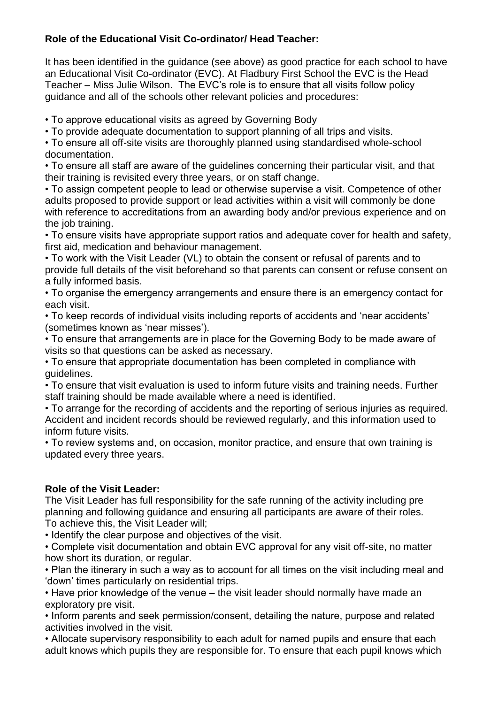# **Role of the Educational Visit Co-ordinator/ Head Teacher:**

It has been identified in the guidance (see above) as good practice for each school to have an Educational Visit Co-ordinator (EVC). At Fladbury First School the EVC is the Head Teacher – Miss Julie Wilson. The EVC's role is to ensure that all visits follow policy guidance and all of the schools other relevant policies and procedures:

• To approve educational visits as agreed by Governing Body

• To provide adequate documentation to support planning of all trips and visits.

• To ensure all off-site visits are thoroughly planned using standardised whole-school documentation.

• To ensure all staff are aware of the guidelines concerning their particular visit, and that their training is revisited every three years, or on staff change.

• To assign competent people to lead or otherwise supervise a visit. Competence of other adults proposed to provide support or lead activities within a visit will commonly be done with reference to accreditations from an awarding body and/or previous experience and on the job training.

• To ensure visits have appropriate support ratios and adequate cover for health and safety, first aid, medication and behaviour management.

• To work with the Visit Leader (VL) to obtain the consent or refusal of parents and to provide full details of the visit beforehand so that parents can consent or refuse consent on a fully informed basis.

• To organise the emergency arrangements and ensure there is an emergency contact for each visit.

• To keep records of individual visits including reports of accidents and 'near accidents' (sometimes known as 'near misses').

• To ensure that arrangements are in place for the Governing Body to be made aware of visits so that questions can be asked as necessary.

• To ensure that appropriate documentation has been completed in compliance with guidelines.

• To ensure that visit evaluation is used to inform future visits and training needs. Further staff training should be made available where a need is identified.

• To arrange for the recording of accidents and the reporting of serious injuries as required. Accident and incident records should be reviewed regularly, and this information used to inform future visits.

• To review systems and, on occasion, monitor practice, and ensure that own training is updated every three years.

# **Role of the Visit Leader:**

The Visit Leader has full responsibility for the safe running of the activity including pre planning and following guidance and ensuring all participants are aware of their roles. To achieve this, the Visit Leader will;

• Identify the clear purpose and objectives of the visit.

• Complete visit documentation and obtain EVC approval for any visit off-site, no matter how short its duration, or regular.

• Plan the itinerary in such a way as to account for all times on the visit including meal and 'down' times particularly on residential trips.

• Have prior knowledge of the venue – the visit leader should normally have made an exploratory pre visit.

• Inform parents and seek permission/consent, detailing the nature, purpose and related activities involved in the visit.

• Allocate supervisory responsibility to each adult for named pupils and ensure that each adult knows which pupils they are responsible for. To ensure that each pupil knows which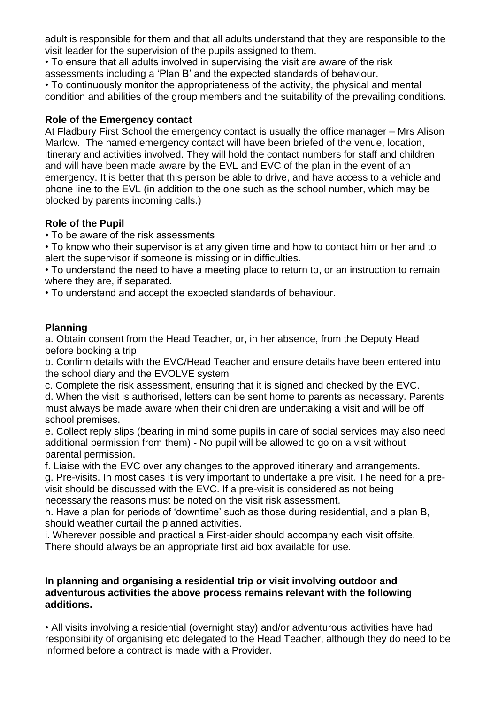adult is responsible for them and that all adults understand that they are responsible to the visit leader for the supervision of the pupils assigned to them.

• To ensure that all adults involved in supervising the visit are aware of the risk assessments including a 'Plan B' and the expected standards of behaviour.

• To continuously monitor the appropriateness of the activity, the physical and mental condition and abilities of the group members and the suitability of the prevailing conditions.

## **Role of the Emergency contact**

At Fladbury First School the emergency contact is usually the office manager – Mrs Alison Marlow. The named emergency contact will have been briefed of the venue, location, itinerary and activities involved. They will hold the contact numbers for staff and children and will have been made aware by the EVL and EVC of the plan in the event of an emergency. It is better that this person be able to drive, and have access to a vehicle and phone line to the EVL (in addition to the one such as the school number, which may be blocked by parents incoming calls.)

# **Role of the Pupil**

• To be aware of the risk assessments

• To know who their supervisor is at any given time and how to contact him or her and to alert the supervisor if someone is missing or in difficulties.

• To understand the need to have a meeting place to return to, or an instruction to remain where they are, if separated.

• To understand and accept the expected standards of behaviour.

## **Planning**

a. Obtain consent from the Head Teacher, or, in her absence, from the Deputy Head before booking a trip

b. Confirm details with the EVC/Head Teacher and ensure details have been entered into the school diary and the EVOLVE system

c. Complete the risk assessment, ensuring that it is signed and checked by the EVC.

d. When the visit is authorised, letters can be sent home to parents as necessary. Parents must always be made aware when their children are undertaking a visit and will be off school premises.

e. Collect reply slips (bearing in mind some pupils in care of social services may also need additional permission from them) - No pupil will be allowed to go on a visit without parental permission.

f. Liaise with the EVC over any changes to the approved itinerary and arrangements.

g. Pre-visits. In most cases it is very important to undertake a pre visit. The need for a previsit should be discussed with the EVC. If a pre-visit is considered as not being necessary the reasons must be noted on the visit risk assessment.

h. Have a plan for periods of 'downtime' such as those during residential, and a plan B, should weather curtail the planned activities.

i. Wherever possible and practical a First-aider should accompany each visit offsite.

There should always be an appropriate first aid box available for use.

#### **In planning and organising a residential trip or visit involving outdoor and adventurous activities the above process remains relevant with the following additions.**

• All visits involving a residential (overnight stay) and/or adventurous activities have had responsibility of organising etc delegated to the Head Teacher, although they do need to be informed before a contract is made with a Provider.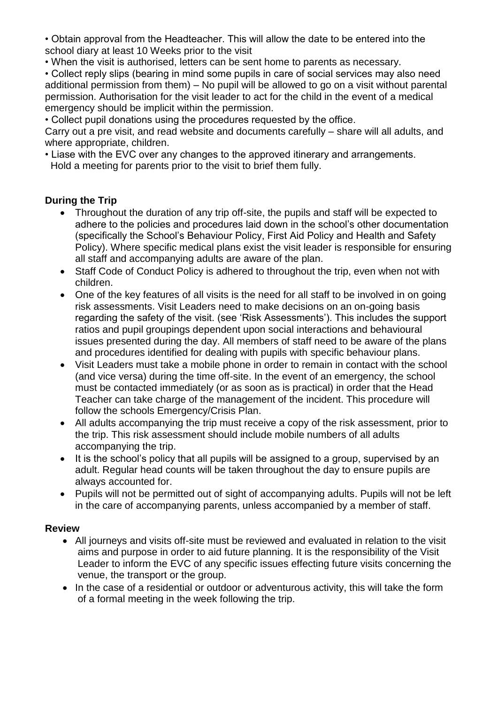• Obtain approval from the Headteacher. This will allow the date to be entered into the school diary at least 10 Weeks prior to the visit

• When the visit is authorised, letters can be sent home to parents as necessary.

• Collect reply slips (bearing in mind some pupils in care of social services may also need additional permission from them) – No pupil will be allowed to go on a visit without parental permission. Authorisation for the visit leader to act for the child in the event of a medical emergency should be implicit within the permission.

• Collect pupil donations using the procedures requested by the office.

Carry out a pre visit, and read website and documents carefully – share will all adults, and where appropriate, children.

• Liase with the EVC over any changes to the approved itinerary and arrangements. Hold a meeting for parents prior to the visit to brief them fully.

# **During the Trip**

- Throughout the duration of any trip off-site, the pupils and staff will be expected to adhere to the policies and procedures laid down in the school's other documentation (specifically the School's Behaviour Policy, First Aid Policy and Health and Safety Policy). Where specific medical plans exist the visit leader is responsible for ensuring all staff and accompanying adults are aware of the plan.
- Staff Code of Conduct Policy is adhered to throughout the trip, even when not with children.
- One of the key features of all visits is the need for all staff to be involved in on going risk assessments. Visit Leaders need to make decisions on an on-going basis regarding the safety of the visit. (see 'Risk Assessments'). This includes the support ratios and pupil groupings dependent upon social interactions and behavioural issues presented during the day. All members of staff need to be aware of the plans and procedures identified for dealing with pupils with specific behaviour plans.
- Visit Leaders must take a mobile phone in order to remain in contact with the school (and vice versa) during the time off-site. In the event of an emergency, the school must be contacted immediately (or as soon as is practical) in order that the Head Teacher can take charge of the management of the incident. This procedure will follow the schools Emergency/Crisis Plan.
- All adults accompanying the trip must receive a copy of the risk assessment, prior to the trip. This risk assessment should include mobile numbers of all adults accompanying the trip.
- It is the school's policy that all pupils will be assigned to a group, supervised by an adult. Regular head counts will be taken throughout the day to ensure pupils are always accounted for.
- Pupils will not be permitted out of sight of accompanying adults. Pupils will not be left in the care of accompanying parents, unless accompanied by a member of staff.

## **Review**

- All journeys and visits off-site must be reviewed and evaluated in relation to the visit aims and purpose in order to aid future planning. It is the responsibility of the Visit Leader to inform the EVC of any specific issues effecting future visits concerning the venue, the transport or the group.
- In the case of a residential or outdoor or adventurous activity, this will take the form of a formal meeting in the week following the trip.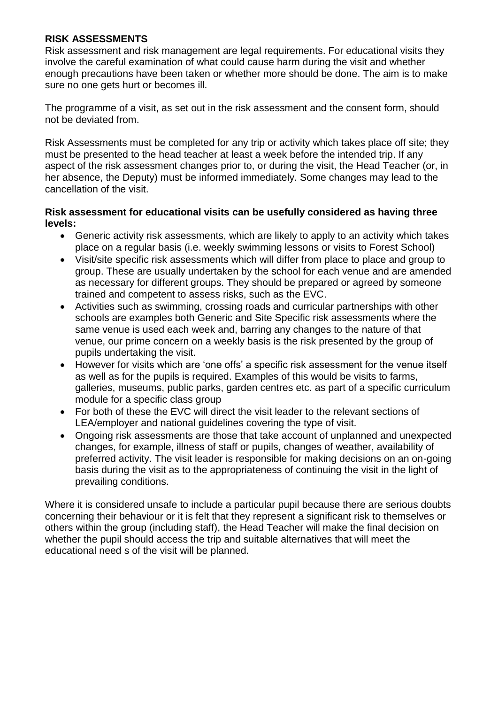## **RISK ASSESSMENTS**

Risk assessment and risk management are legal requirements. For educational visits they involve the careful examination of what could cause harm during the visit and whether enough precautions have been taken or whether more should be done. The aim is to make sure no one gets hurt or becomes ill.

The programme of a visit, as set out in the risk assessment and the consent form, should not be deviated from.

Risk Assessments must be completed for any trip or activity which takes place off site; they must be presented to the head teacher at least a week before the intended trip. If any aspect of the risk assessment changes prior to, or during the visit, the Head Teacher (or, in her absence, the Deputy) must be informed immediately. Some changes may lead to the cancellation of the visit.

## **Risk assessment for educational visits can be usefully considered as having three levels:**

- Generic activity risk assessments, which are likely to apply to an activity which takes place on a regular basis (i.e. weekly swimming lessons or visits to Forest School)
- Visit/site specific risk assessments which will differ from place to place and group to group. These are usually undertaken by the school for each venue and are amended as necessary for different groups. They should be prepared or agreed by someone trained and competent to assess risks, such as the EVC.
- Activities such as swimming, crossing roads and curricular partnerships with other schools are examples both Generic and Site Specific risk assessments where the same venue is used each week and, barring any changes to the nature of that venue, our prime concern on a weekly basis is the risk presented by the group of pupils undertaking the visit.
- However for visits which are 'one offs' a specific risk assessment for the venue itself as well as for the pupils is required. Examples of this would be visits to farms, galleries, museums, public parks, garden centres etc. as part of a specific curriculum module for a specific class group
- For both of these the EVC will direct the visit leader to the relevant sections of LEA/employer and national guidelines covering the type of visit.
- Ongoing risk assessments are those that take account of unplanned and unexpected changes, for example, illness of staff or pupils, changes of weather, availability of preferred activity. The visit leader is responsible for making decisions on an on-going basis during the visit as to the appropriateness of continuing the visit in the light of prevailing conditions.

Where it is considered unsafe to include a particular pupil because there are serious doubts concerning their behaviour or it is felt that they represent a significant risk to themselves or others within the group (including staff), the Head Teacher will make the final decision on whether the pupil should access the trip and suitable alternatives that will meet the educational need s of the visit will be planned.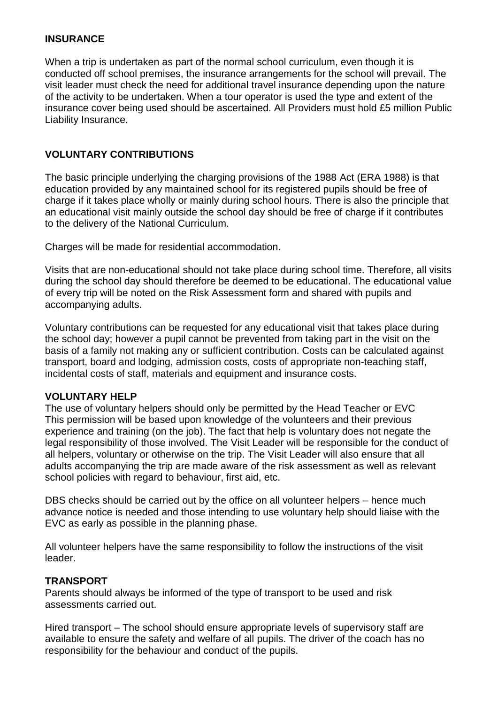# **INSURANCE**

When a trip is undertaken as part of the normal school curriculum, even though it is conducted off school premises, the insurance arrangements for the school will prevail. The visit leader must check the need for additional travel insurance depending upon the nature of the activity to be undertaken. When a tour operator is used the type and extent of the insurance cover being used should be ascertained. All Providers must hold £5 million Public Liability Insurance.

# **VOLUNTARY CONTRIBUTIONS**

The basic principle underlying the charging provisions of the 1988 Act (ERA 1988) is that education provided by any maintained school for its registered pupils should be free of charge if it takes place wholly or mainly during school hours. There is also the principle that an educational visit mainly outside the school day should be free of charge if it contributes to the delivery of the National Curriculum.

Charges will be made for residential accommodation.

Visits that are non-educational should not take place during school time. Therefore, all visits during the school day should therefore be deemed to be educational. The educational value of every trip will be noted on the Risk Assessment form and shared with pupils and accompanying adults.

Voluntary contributions can be requested for any educational visit that takes place during the school day; however a pupil cannot be prevented from taking part in the visit on the basis of a family not making any or sufficient contribution. Costs can be calculated against transport, board and lodging, admission costs, costs of appropriate non-teaching staff, incidental costs of staff, materials and equipment and insurance costs.

# **VOLUNTARY HELP**

The use of voluntary helpers should only be permitted by the Head Teacher or EVC This permission will be based upon knowledge of the volunteers and their previous experience and training (on the job). The fact that help is voluntary does not negate the legal responsibility of those involved. The Visit Leader will be responsible for the conduct of all helpers, voluntary or otherwise on the trip. The Visit Leader will also ensure that all adults accompanying the trip are made aware of the risk assessment as well as relevant school policies with regard to behaviour, first aid, etc.

DBS checks should be carried out by the office on all volunteer helpers – hence much advance notice is needed and those intending to use voluntary help should liaise with the EVC as early as possible in the planning phase.

All volunteer helpers have the same responsibility to follow the instructions of the visit leader.

# **TRANSPORT**

Parents should always be informed of the type of transport to be used and risk assessments carried out.

Hired transport – The school should ensure appropriate levels of supervisory staff are available to ensure the safety and welfare of all pupils. The driver of the coach has no responsibility for the behaviour and conduct of the pupils.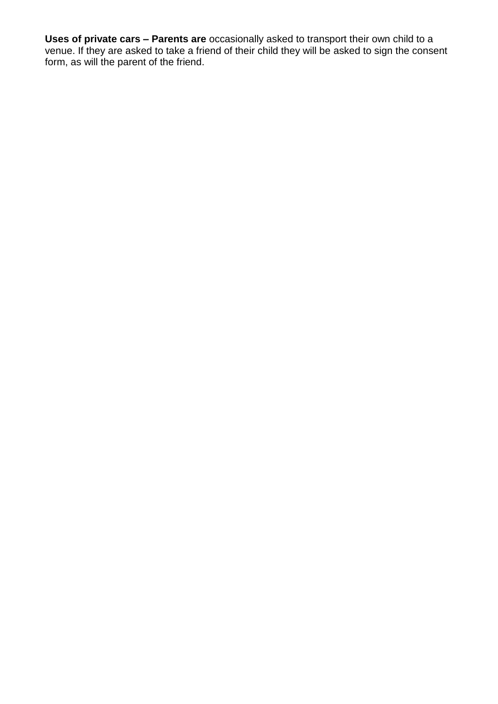**Uses of private cars – Parents are** occasionally asked to transport their own child to a venue. If they are asked to take a friend of their child they will be asked to sign the consent form, as will the parent of the friend.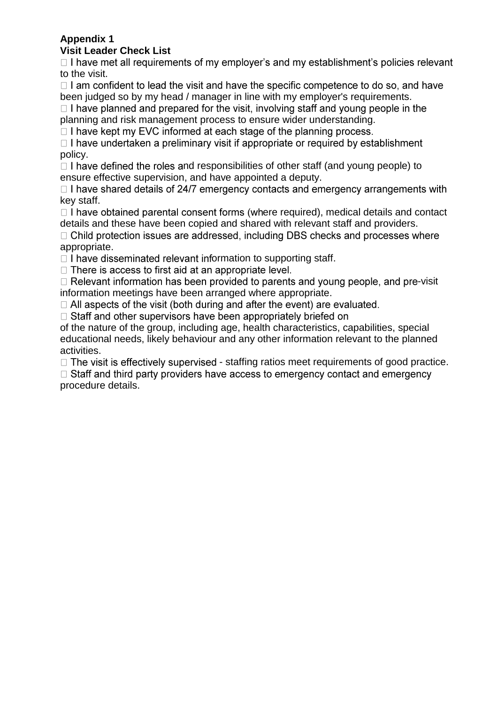#### **Appendix 1 Visit Leader Check List**

 $\Box$  I have met all requirements of my employer's and my establishment's policies relevant to the visit.

 $\Box$  I am confident to lead the visit and have the specific competence to do so, and have been judged so by my head / manager in line with my employer's requirements.

 $\Box$  I have planned and prepared for the visit, involving staff and voung people in the planning and risk management process to ensure wider understanding.

 $\Box$  I have kept my EVC informed at each stage of the planning process.

 $\Box$  I have undertaken a preliminary visit if appropriate or required by establishment policy.

 $\Box$  I have defined the roles and responsibilities of other staff (and young people) to ensure effective supervision, and have appointed a deputy.

 $\Box$  I have shared details of 24/7 emergency contacts and emergency arrangements with key staff.

 $\Box$  I have obtained parental consent forms (where required), medical details and contact details and these have been copied and shared with relevant staff and providers.

 $\Box$  Child protection issues are addressed, including DBS checks and processes where appropriate.

 $\Box$  I have disseminated relevant information to supporting staff.

□ There is access to first aid at an appropriate level.

 $\Box$  Relevant information has been provided to parents and young people, and pre-visit information meetings have been arranged where appropriate.

 $\Box$  All aspects of the visit (both during and after the event) are evaluated.

□ Staff and other supervisors have been appropriately briefed on

of the nature of the group, including age, health characteristics, capabilities, special educational needs, likely behaviour and any other information relevant to the planned activities.

 $\Box$  The visit is effectively supervised - staffing ratios meet requirements of good practice.

 $\Box$  Staff and third party providers have access to emergency contact and emergency procedure details.